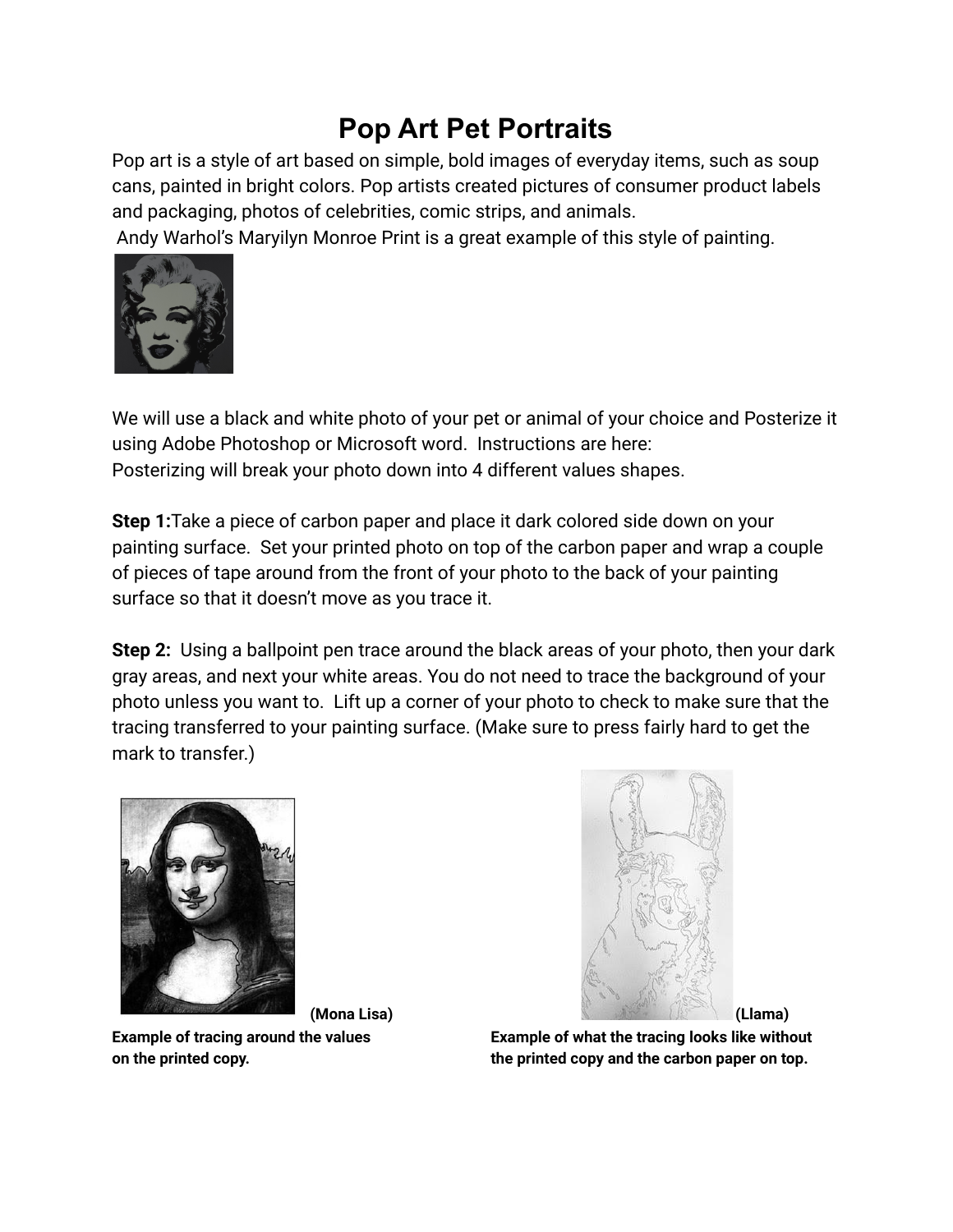## **Pop Art Pet Portraits**

Pop art is a style of art based on simple, bold images of everyday items, such as soup cans, painted in bright colors. Pop artists created pictures of consumer product labels and packaging, photos of celebrities, comic strips, and animals.

Andy Warhol's Maryilyn Monroe Print is a great example of this style of painting.



We will use a black and white photo of your pet or animal of your choice and Posterize it using Adobe Photoshop or Microsoft word. Instructions are here: Posterizing will break your photo down into 4 different values shapes.

**Step 1:**Take a piece of carbon paper and place it dark colored side down on your painting surface. Set your printed photo on top of the carbon paper and wrap a couple of pieces of tape around from the front of your photo to the back of your painting surface so that it doesn't move as you trace it.

**Step 2:** Using a ballpoint pen trace around the black areas of your photo, then your dark gray areas, and next your white areas. You do not need to trace the background of your photo unless you want to. Lift up a corner of your photo to check to make sure that the tracing transferred to your painting surface. (Make sure to press fairly hard to get the mark to transfer.)





**Example of tracing around the values Example of what the tracing looks like without on the printed copy. the printed copy and the carbon paper on top.**